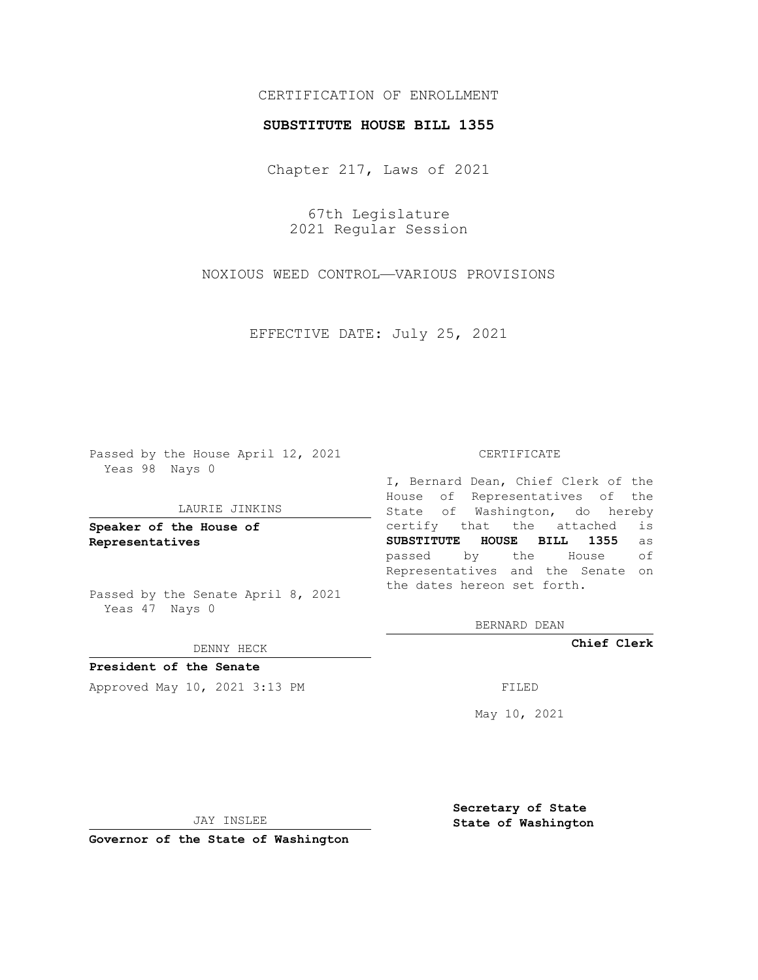# CERTIFICATION OF ENROLLMENT

### **SUBSTITUTE HOUSE BILL 1355**

Chapter 217, Laws of 2021

67th Legislature 2021 Regular Session

NOXIOUS WEED CONTROL—VARIOUS PROVISIONS

EFFECTIVE DATE: July 25, 2021

Passed by the House April 12, 2021 Yeas 98 Nays 0

#### LAURIE JINKINS

**Speaker of the House of Representatives**

Passed by the Senate April 8, 2021 Yeas 47 Nays 0

DENNY HECK

**President of the Senate** Approved May 10, 2021 3:13 PM FILED

### CERTIFICATE

I, Bernard Dean, Chief Clerk of the House of Representatives of the State of Washington, do hereby certify that the attached is **SUBSTITUTE HOUSE BILL 1355** as passed by the House of Representatives and the Senate on the dates hereon set forth.

BERNARD DEAN

**Chief Clerk**

May 10, 2021

JAY INSLEE

**Governor of the State of Washington**

**Secretary of State State of Washington**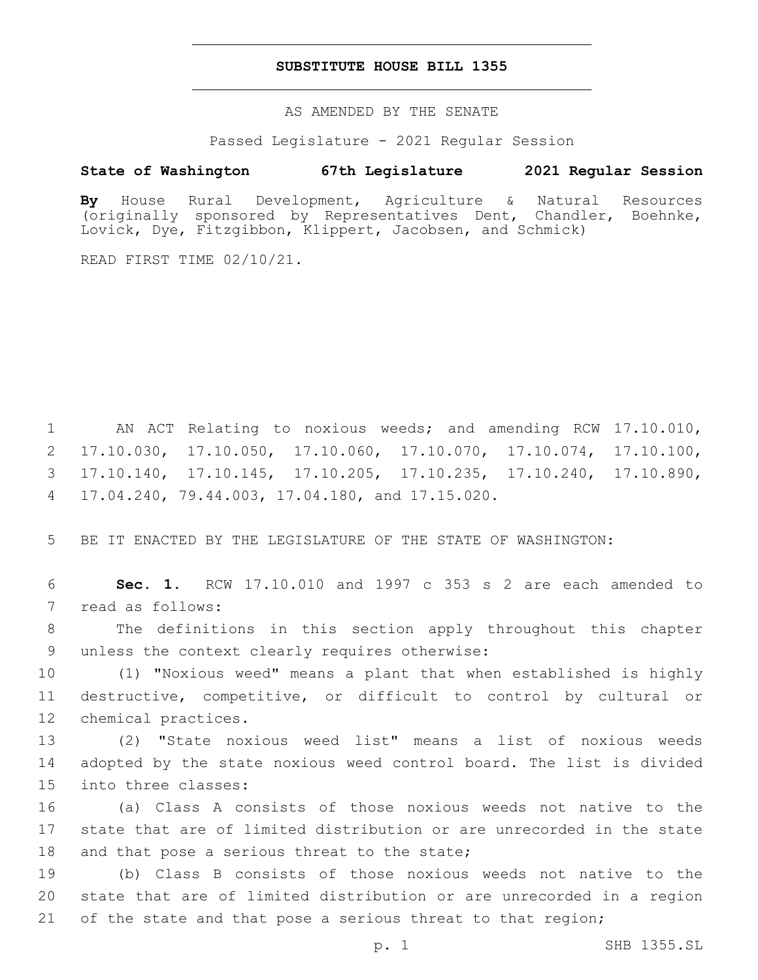## **SUBSTITUTE HOUSE BILL 1355**

AS AMENDED BY THE SENATE

Passed Legislature - 2021 Regular Session

## **State of Washington 67th Legislature 2021 Regular Session**

**By** House Rural Development, Agriculture & Natural Resources (originally sponsored by Representatives Dent, Chandler, Boehnke, Lovick, Dye, Fitzgibbon, Klippert, Jacobsen, and Schmick)

READ FIRST TIME 02/10/21.

 AN ACT Relating to noxious weeds; and amending RCW 17.10.010, 17.10.030, 17.10.050, 17.10.060, 17.10.070, 17.10.074, 17.10.100, 17.10.140, 17.10.145, 17.10.205, 17.10.235, 17.10.240, 17.10.890, 17.04.240, 79.44.003, 17.04.180, and 17.15.020.4

5 BE IT ENACTED BY THE LEGISLATURE OF THE STATE OF WASHINGTON:

6 **Sec. 1.** RCW 17.10.010 and 1997 c 353 s 2 are each amended to 7 read as follows:

8 The definitions in this section apply throughout this chapter 9 unless the context clearly requires otherwise:

10 (1) "Noxious weed" means a plant that when established is highly 11 destructive, competitive, or difficult to control by cultural or 12 chemical practices.

13 (2) "State noxious weed list" means a list of noxious weeds 14 adopted by the state noxious weed control board. The list is divided 15 into three classes:

16 (a) Class A consists of those noxious weeds not native to the 17 state that are of limited distribution or are unrecorded in the state 18 and that pose a serious threat to the state;

19 (b) Class B consists of those noxious weeds not native to the 20 state that are of limited distribution or are unrecorded in a region 21 of the state and that pose a serious threat to that region;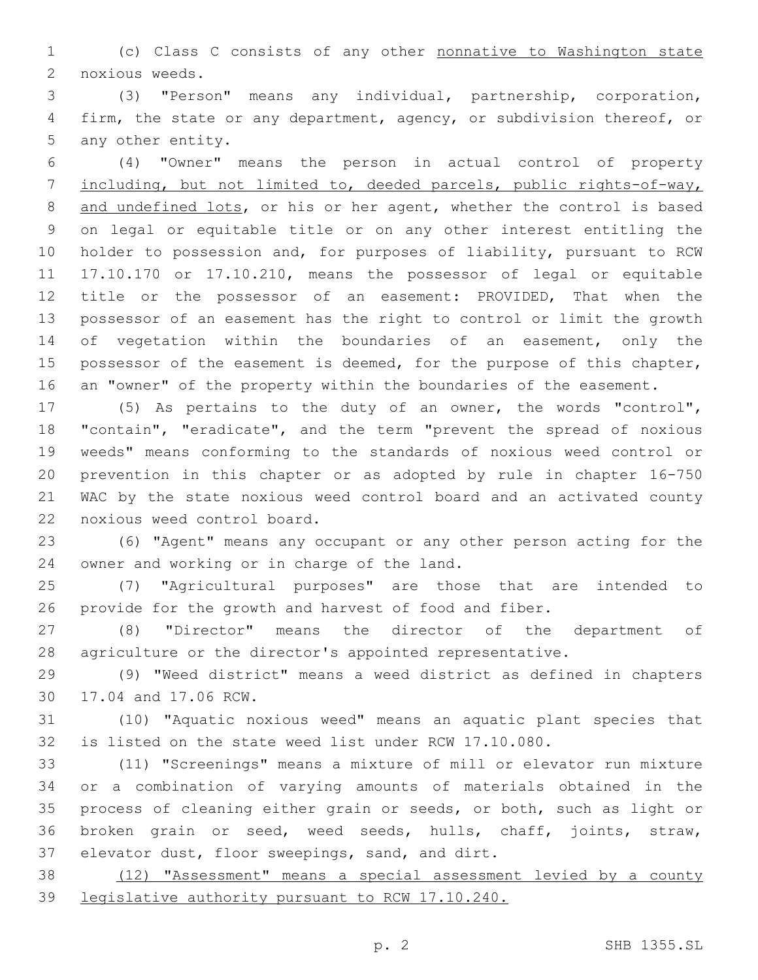(c) Class C consists of any other nonnative to Washington state 2 noxious weeds.

 (3) "Person" means any individual, partnership, corporation, firm, the state or any department, agency, or subdivision thereof, or 5 any other entity.

 (4) "Owner" means the person in actual control of property including, but not limited to, deeded parcels, public rights-of-way, 8 and undefined lots, or his or her agent, whether the control is based on legal or equitable title or on any other interest entitling the holder to possession and, for purposes of liability, pursuant to RCW 17.10.170 or 17.10.210, means the possessor of legal or equitable title or the possessor of an easement: PROVIDED, That when the possessor of an easement has the right to control or limit the growth 14 of vegetation within the boundaries of an easement, only the 15 possessor of the easement is deemed, for the purpose of this chapter, an "owner" of the property within the boundaries of the easement.

 (5) As pertains to the duty of an owner, the words "control", "contain", "eradicate", and the term "prevent the spread of noxious weeds" means conforming to the standards of noxious weed control or prevention in this chapter or as adopted by rule in chapter 16-750 WAC by the state noxious weed control board and an activated county 22 noxious weed control board.

 (6) "Agent" means any occupant or any other person acting for the 24 owner and working or in charge of the land.

 (7) "Agricultural purposes" are those that are intended to provide for the growth and harvest of food and fiber.

 (8) "Director" means the director of the department of agriculture or the director's appointed representative.

 (9) "Weed district" means a weed district as defined in chapters 30 17.04 and 17.06 RCW.

 (10) "Aquatic noxious weed" means an aquatic plant species that is listed on the state weed list under RCW 17.10.080.

 (11) "Screenings" means a mixture of mill or elevator run mixture or a combination of varying amounts of materials obtained in the process of cleaning either grain or seeds, or both, such as light or broken grain or seed, weed seeds, hulls, chaff, joints, straw, 37 elevator dust, floor sweepings, sand, and dirt.

 (12) "Assessment" means a special assessment levied by a county legislative authority pursuant to RCW 17.10.240.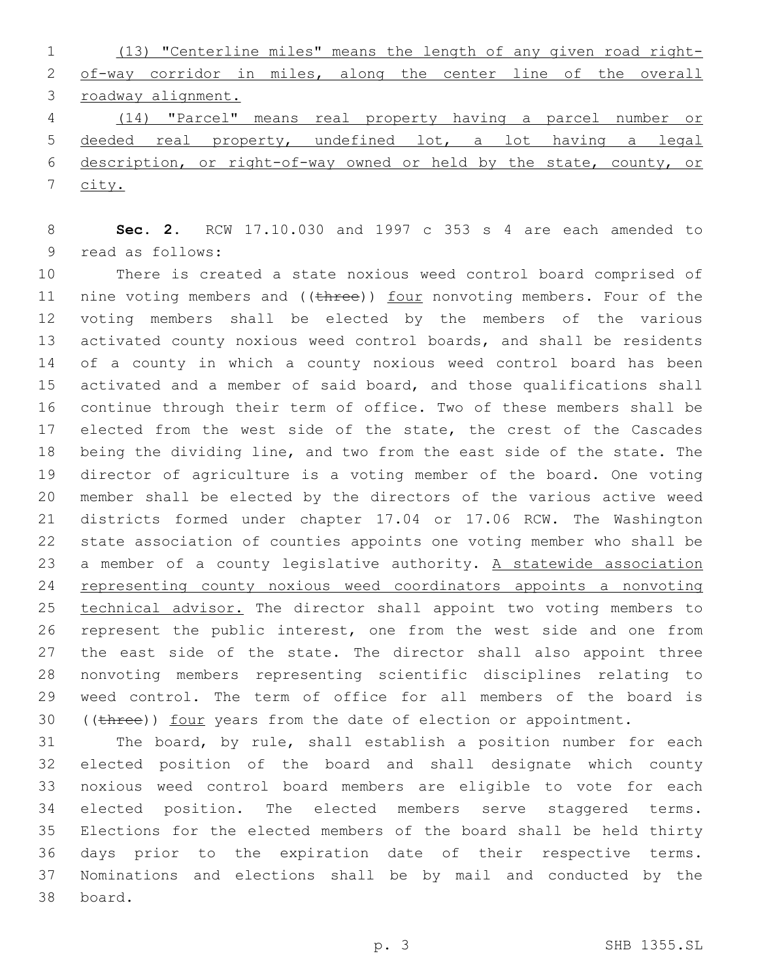(13) "Centerline miles" means the length of any given road right- of-way corridor in miles, along the center line of the overall roadway alignment. (14) "Parcel" means real property having a parcel number or deeded real property, undefined lot, a lot having a legal description, or right-of-way owned or held by the state, county, or

city.

 **Sec. 2.** RCW 17.10.030 and 1997 c 353 s 4 are each amended to 9 read as follows:

 There is created a state noxious weed control board comprised of 11 nine voting members and ((three)) four nonvoting members. Four of the voting members shall be elected by the members of the various activated county noxious weed control boards, and shall be residents of a county in which a county noxious weed control board has been activated and a member of said board, and those qualifications shall continue through their term of office. Two of these members shall be 17 elected from the west side of the state, the crest of the Cascades being the dividing line, and two from the east side of the state. The director of agriculture is a voting member of the board. One voting member shall be elected by the directors of the various active weed districts formed under chapter 17.04 or 17.06 RCW. The Washington state association of counties appoints one voting member who shall be 23 a member of a county legislative authority. A statewide association representing county noxious weed coordinators appoints a nonvoting 25 technical advisor. The director shall appoint two voting members to represent the public interest, one from the west side and one from 27 the east side of the state. The director shall also appoint three nonvoting members representing scientific disciplines relating to weed control. The term of office for all members of the board is 30 ((three)) four years from the date of election or appointment.

 The board, by rule, shall establish a position number for each elected position of the board and shall designate which county noxious weed control board members are eligible to vote for each elected position. The elected members serve staggered terms. Elections for the elected members of the board shall be held thirty days prior to the expiration date of their respective terms. Nominations and elections shall be by mail and conducted by the 38 board.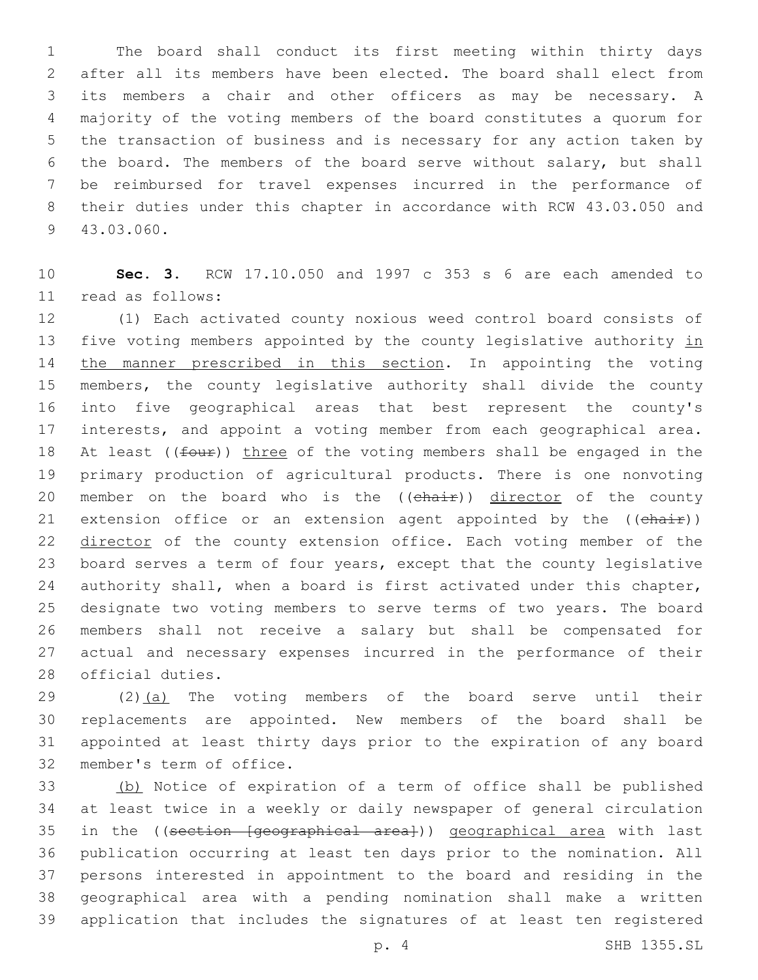The board shall conduct its first meeting within thirty days after all its members have been elected. The board shall elect from its members a chair and other officers as may be necessary. A majority of the voting members of the board constitutes a quorum for the transaction of business and is necessary for any action taken by the board. The members of the board serve without salary, but shall be reimbursed for travel expenses incurred in the performance of their duties under this chapter in accordance with RCW 43.03.050 and 9 43.03.060.

 **Sec. 3.** RCW 17.10.050 and 1997 c 353 s 6 are each amended to read as follows:11

 (1) Each activated county noxious weed control board consists of 13 five voting members appointed by the county legislative authority in 14 the manner prescribed in this section. In appointing the voting members, the county legislative authority shall divide the county into five geographical areas that best represent the county's interests, and appoint a voting member from each geographical area. 18 At least ( $(four)$ ) three of the voting members shall be engaged in the primary production of agricultural products. There is one nonvoting 20 member on the board who is the ((chair)) director of the county 21 extension office or an extension agent appointed by the ((chair)) 22 director of the county extension office. Each voting member of the board serves a term of four years, except that the county legislative authority shall, when a board is first activated under this chapter, designate two voting members to serve terms of two years. The board members shall not receive a salary but shall be compensated for actual and necessary expenses incurred in the performance of their 28 official duties.

 (2)(a) The voting members of the board serve until their replacements are appointed. New members of the board shall be appointed at least thirty days prior to the expiration of any board 32 member's term of office.

 (b) Notice of expiration of a term of office shall be published at least twice in a weekly or daily newspaper of general circulation 35 in the ((section [geographical area])) geographical area with last publication occurring at least ten days prior to the nomination. All persons interested in appointment to the board and residing in the geographical area with a pending nomination shall make a written application that includes the signatures of at least ten registered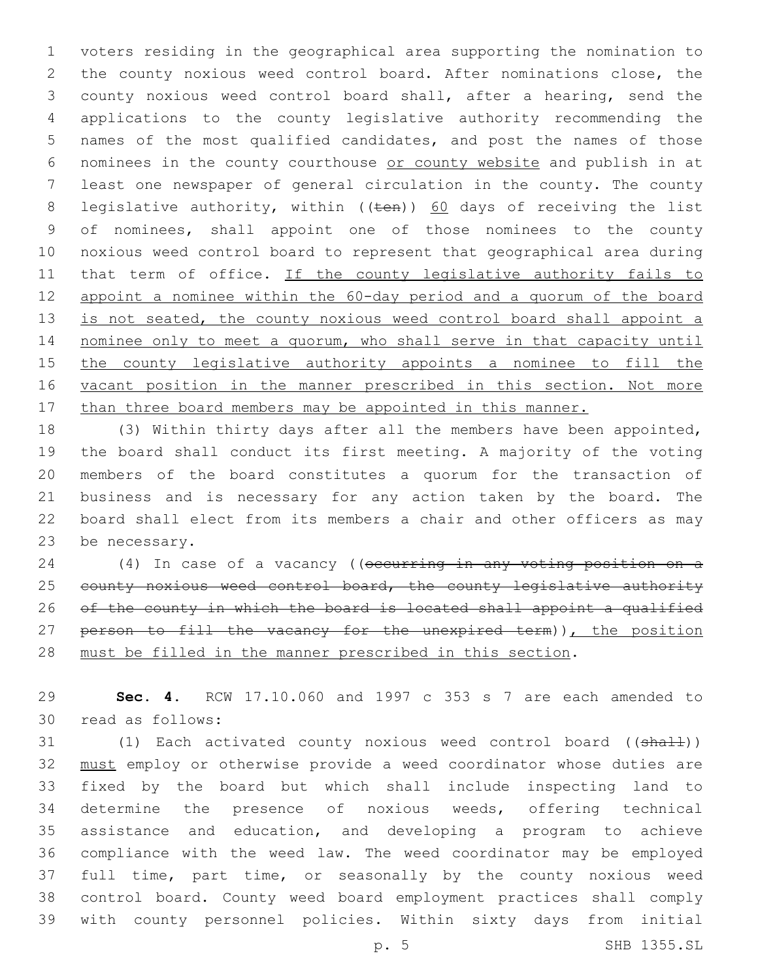voters residing in the geographical area supporting the nomination to the county noxious weed control board. After nominations close, the county noxious weed control board shall, after a hearing, send the applications to the county legislative authority recommending the names of the most qualified candidates, and post the names of those nominees in the county courthouse or county website and publish in at least one newspaper of general circulation in the county. The county 8 legislative authority, within  $((\text{ten}))$  60 days of receiving the list of nominees, shall appoint one of those nominees to the county noxious weed control board to represent that geographical area during 11 that term of office. If the county legislative authority fails to appoint a nominee within the 60-day period and a quorum of the board 13 is not seated, the county noxious weed control board shall appoint a nominee only to meet a quorum, who shall serve in that capacity until 15 the county legislative authority appoints a nominee to fill the 16 vacant position in the manner prescribed in this section. Not more 17 than three board members may be appointed in this manner.

 (3) Within thirty days after all the members have been appointed, the board shall conduct its first meeting. A majority of the voting members of the board constitutes a quorum for the transaction of business and is necessary for any action taken by the board. The board shall elect from its members a chair and other officers as may 23 be necessary.

24 (4) In case of a vacancy ((occurring in any voting position on a 25 county noxious weed control board, the county legislative authority 26 of the county in which the board is located shall appoint a qualified 27 person to fill the vacancy for the unexpired term)), the position must be filled in the manner prescribed in this section.

 **Sec. 4.** RCW 17.10.060 and 1997 c 353 s 7 are each amended to 30 read as follows:

31 (1) Each activated county noxious weed control board ((shall)) must employ or otherwise provide a weed coordinator whose duties are fixed by the board but which shall include inspecting land to determine the presence of noxious weeds, offering technical assistance and education, and developing a program to achieve compliance with the weed law. The weed coordinator may be employed full time, part time, or seasonally by the county noxious weed control board. County weed board employment practices shall comply with county personnel policies. Within sixty days from initial

p. 5 SHB 1355.SL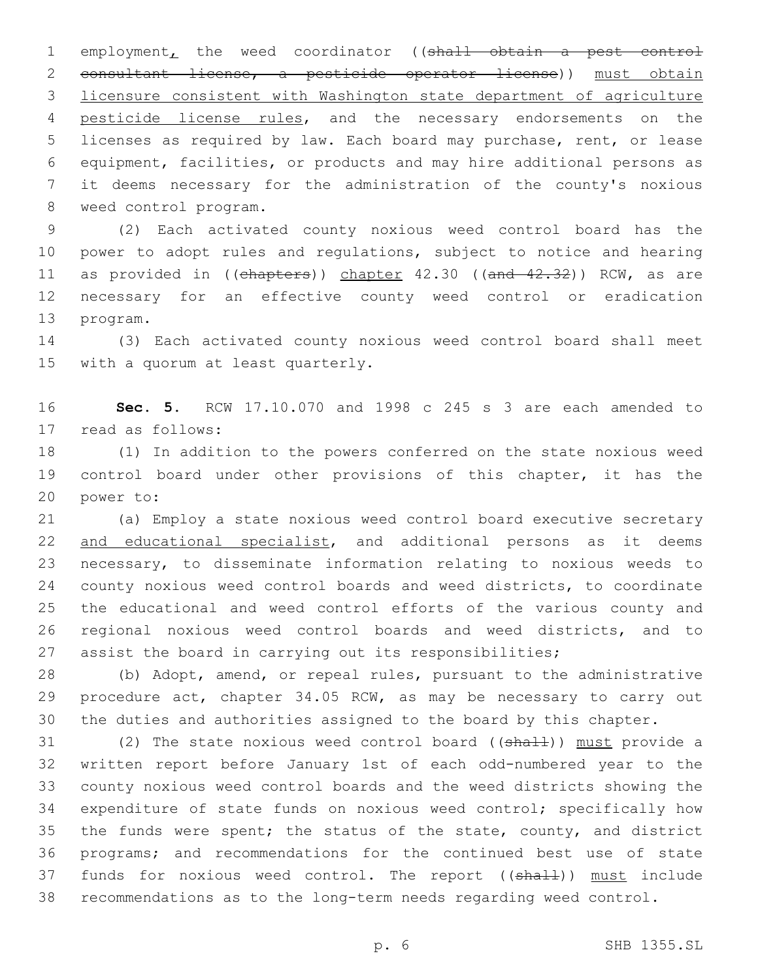1 employment, the weed coordinator ((shall obtain a pest control consultant license, a pesticide operator license)) must obtain licensure consistent with Washington state department of agriculture 4 pesticide license rules, and the necessary endorsements on the licenses as required by law. Each board may purchase, rent, or lease equipment, facilities, or products and may hire additional persons as it deems necessary for the administration of the county's noxious 8 weed control program.

 (2) Each activated county noxious weed control board has the power to adopt rules and regulations, subject to notice and hearing 11 as provided in ((chapters)) chapter 42.30 ((and 42.32)) RCW, as are necessary for an effective county weed control or eradication 13 program.

 (3) Each activated county noxious weed control board shall meet 15 with a quorum at least quarterly.

 **Sec. 5.** RCW 17.10.070 and 1998 c 245 s 3 are each amended to 17 read as follows:

 (1) In addition to the powers conferred on the state noxious weed control board under other provisions of this chapter, it has the 20 power to:

 (a) Employ a state noxious weed control board executive secretary 22 and educational specialist, and additional persons as it deems necessary, to disseminate information relating to noxious weeds to county noxious weed control boards and weed districts, to coordinate the educational and weed control efforts of the various county and regional noxious weed control boards and weed districts, and to assist the board in carrying out its responsibilities;

 (b) Adopt, amend, or repeal rules, pursuant to the administrative 29 procedure act, chapter 34.05 RCW, as may be necessary to carry out the duties and authorities assigned to the board by this chapter.

31 (2) The state noxious weed control board ((shall)) must provide a written report before January 1st of each odd-numbered year to the county noxious weed control boards and the weed districts showing the expenditure of state funds on noxious weed control; specifically how 35 the funds were spent; the status of the state, county, and district programs; and recommendations for the continued best use of state 37 funds for noxious weed control. The report ((shall)) must include recommendations as to the long-term needs regarding weed control.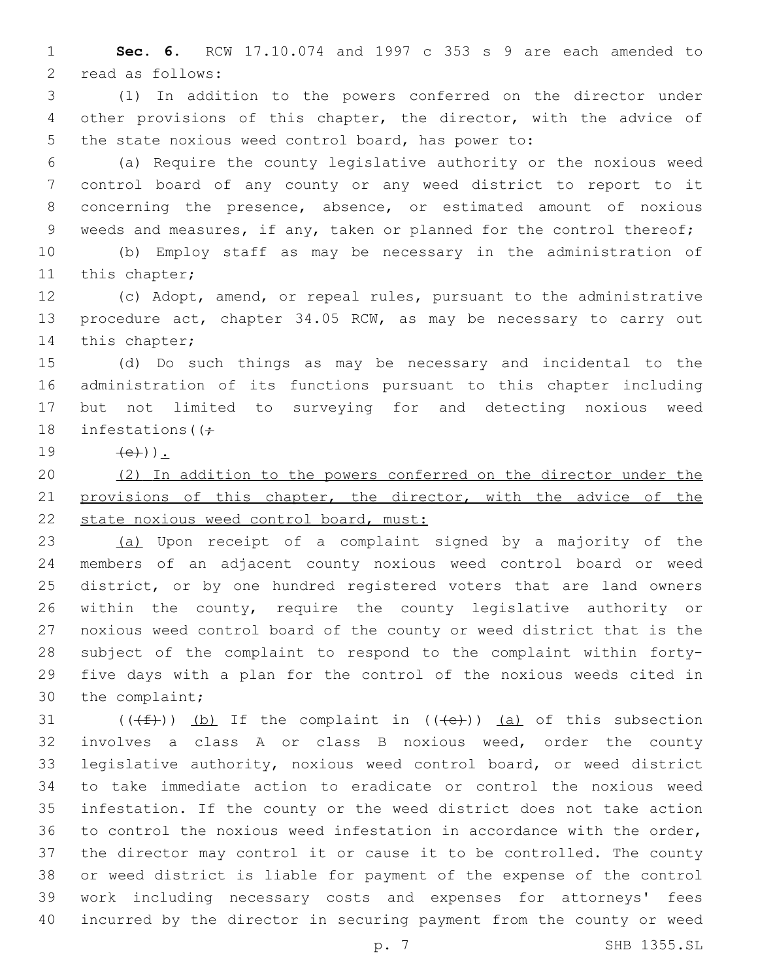**Sec. 6.** RCW 17.10.074 and 1997 c 353 s 9 are each amended to 2 read as follows:

 (1) In addition to the powers conferred on the director under other provisions of this chapter, the director, with the advice of the state noxious weed control board, has power to:

 (a) Require the county legislative authority or the noxious weed control board of any county or any weed district to report to it concerning the presence, absence, or estimated amount of noxious 9 weeds and measures, if any, taken or planned for the control thereof;

 (b) Employ staff as may be necessary in the administration of 11 this chapter;

 (c) Adopt, amend, or repeal rules, pursuant to the administrative procedure act, chapter 34.05 RCW, as may be necessary to carry out 14 this chapter;

 (d) Do such things as may be necessary and incidental to the administration of its functions pursuant to this chapter including but not limited to surveying for and detecting noxious weed 18 infestations ( $\left(\frac{1}{r}\right)$ 

 $(e)$ ).

 (2) In addition to the powers conferred on the director under the 21 provisions of this chapter, the director, with the advice of the 22 state noxious weed control board, must:

 (a) Upon receipt of a complaint signed by a majority of the members of an adjacent county noxious weed control board or weed district, or by one hundred registered voters that are land owners within the county, require the county legislative authority or noxious weed control board of the county or weed district that is the subject of the complaint to respond to the complaint within forty- five days with a plan for the control of the noxious weeds cited in 30 the complaint;

 $((\text{#}))$  (b) If the complaint in  $((\text{#}))$  (a) of this subsection involves a class A or class B noxious weed, order the county legislative authority, noxious weed control board, or weed district to take immediate action to eradicate or control the noxious weed infestation. If the county or the weed district does not take action to control the noxious weed infestation in accordance with the order, the director may control it or cause it to be controlled. The county or weed district is liable for payment of the expense of the control work including necessary costs and expenses for attorneys' fees incurred by the director in securing payment from the county or weed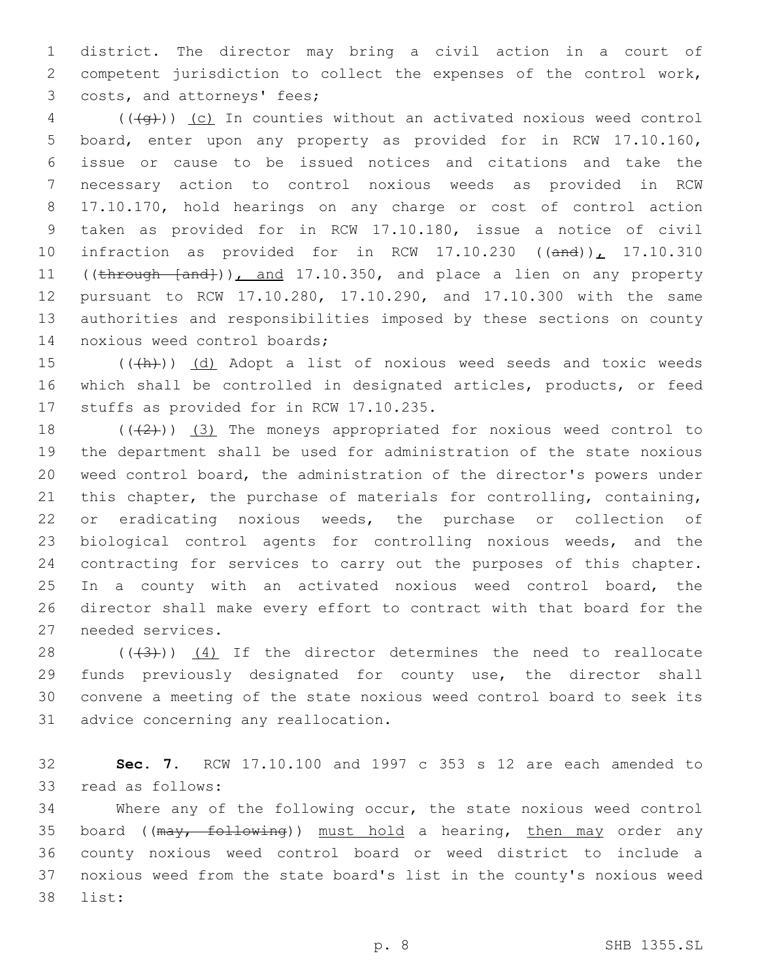district. The director may bring a civil action in a court of competent jurisdiction to collect the expenses of the control work, 3 costs, and attorneys' fees;

4 (((+q))) (c) In counties without an activated noxious weed control board, enter upon any property as provided for in RCW 17.10.160, issue or cause to be issued notices and citations and take the necessary action to control noxious weeds as provided in RCW 17.10.170, hold hearings on any charge or cost of control action taken as provided for in RCW 17.10.180, issue a notice of civil 10 infraction as provided for in RCW  $17.10.230$  ((and)),  $17.10.310$ 11 ((through [and])), and 17.10.350, and place a lien on any property pursuant to RCW 17.10.280, 17.10.290, and 17.10.300 with the same authorities and responsibilities imposed by these sections on county 14 noxious weed control boards;

15 (((h)) (d) Adopt a list of noxious weed seeds and toxic weeds which shall be controlled in designated articles, products, or feed 17 stuffs as provided for in RCW 17.10.235.

 $((+2+))$   $(3)$  The moneys appropriated for noxious weed control to the department shall be used for administration of the state noxious weed control board, the administration of the director's powers under this chapter, the purchase of materials for controlling, containing, or eradicating noxious weeds, the purchase or collection of biological control agents for controlling noxious weeds, and the contracting for services to carry out the purposes of this chapter. In a county with an activated noxious weed control board, the director shall make every effort to contract with that board for the 27 needed services.

 $((+3+))$   $(4)$  If the director determines the need to reallocate funds previously designated for county use, the director shall convene a meeting of the state noxious weed control board to seek its 31 advice concerning any reallocation.

 **Sec. 7.** RCW 17.10.100 and 1997 c 353 s 12 are each amended to 33 read as follows:

 Where any of the following occur, the state noxious weed control 35 board ((may, following)) must hold a hearing, then may order any county noxious weed control board or weed district to include a noxious weed from the state board's list in the county's noxious weed 38 list: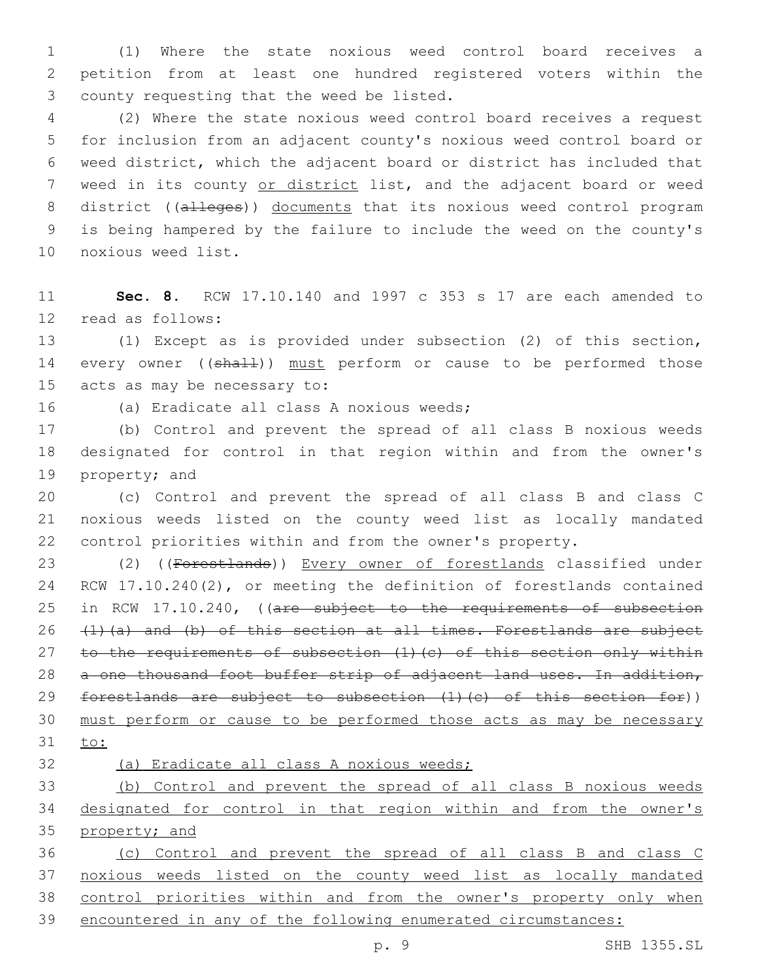(1) Where the state noxious weed control board receives a petition from at least one hundred registered voters within the 3 county requesting that the weed be listed.

 (2) Where the state noxious weed control board receives a request for inclusion from an adjacent county's noxious weed control board or weed district, which the adjacent board or district has included that 7 weed in its county or district list, and the adjacent board or weed 8 district ((alleges)) documents that its noxious weed control program is being hampered by the failure to include the weed on the county's 10 noxious weed list.

 **Sec. 8.** RCW 17.10.140 and 1997 c 353 s 17 are each amended to 12 read as follows:

 (1) Except as is provided under subsection (2) of this section, 14 every owner ((shall)) must perform or cause to be performed those 15 acts as may be necessary to:

16 (a) Eradicate all class A noxious weeds;

 (b) Control and prevent the spread of all class B noxious weeds designated for control in that region within and from the owner's 19 property; and

 (c) Control and prevent the spread of all class B and class C noxious weeds listed on the county weed list as locally mandated control priorities within and from the owner's property.

 (2) ((Forestlands)) Every owner of forestlands classified under RCW 17.10.240(2), or meeting the definition of forestlands contained 25 in RCW 17.10.240, ((are subject to the requirements of subsection 26  $(1)(a)$  and (b) of this section at all times. Forestlands are subject 27 to the requirements of subsection (1)(c) of this section only within 28 a one thousand foot buffer strip of adjacent land uses. In addition, 29 forestlands are subject to subsection (1)(c) of this section for)) must perform or cause to be performed those acts as may be necessary to:

(a) Eradicate all class A noxious weeds;

 (b) Control and prevent the spread of all class B noxious weeds designated for control in that region within and from the owner's property; and

 (c) Control and prevent the spread of all class B and class C noxious weeds listed on the county weed list as locally mandated control priorities within and from the owner's property only when encountered in any of the following enumerated circumstances: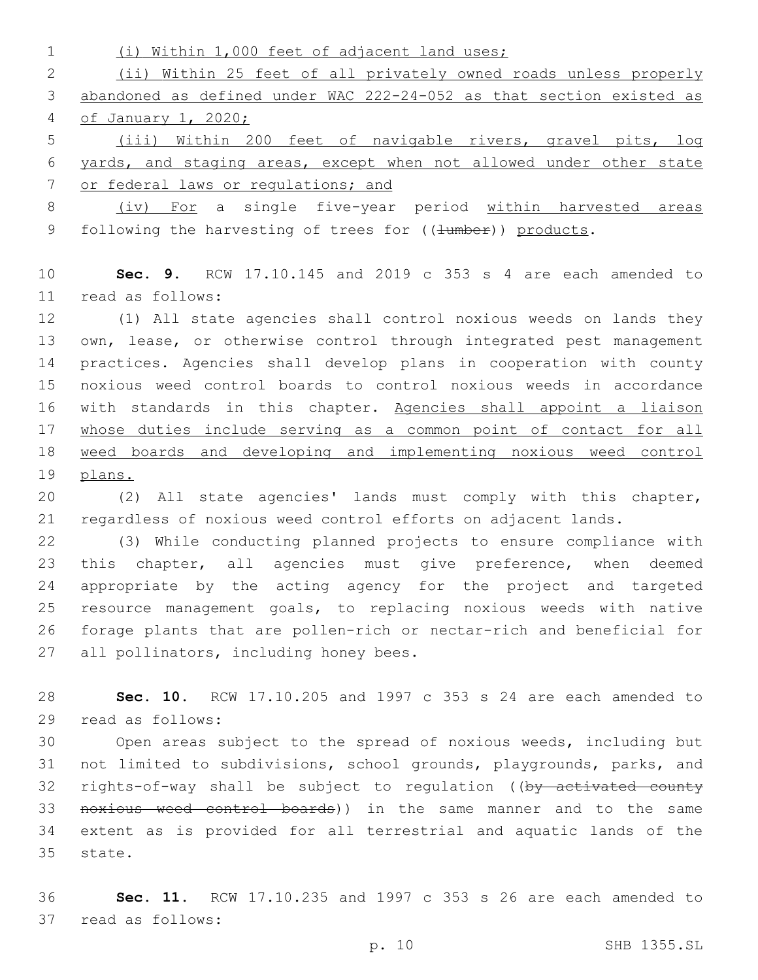| $\mathbf 1$ | (i) Within 1,000 feet of adjacent land uses;                         |
|-------------|----------------------------------------------------------------------|
| 2           | (ii) Within 25 feet of all privately owned roads unless properly     |
| 3           | abandoned as defined under WAC 222-24-052 as that section existed as |
| 4           | of January 1, 2020;                                                  |
| 5           | (iii) Within 200 feet of navigable rivers, gravel pits, log          |
| 6           | yards, and staging areas, except when not allowed under other state  |
| 7           | or federal laws or regulations; and                                  |
| 8           | (iv) For a single five-year period within harvested areas            |
| 9           | following the harvesting of trees for ((4umber)) products.           |
| 10          | Sec. 9. RCW $17.10.145$ and $2019$ c 353 s 4 are each amended to     |
| 11          | read as follows:                                                     |
| 12          | (1) All state agencies shall control noxious weeds on lands they     |
| 13          | own, lease, or otherwise control through integrated pest management  |
| 14          | practices. Agencies shall develop plans in cooperation with county   |
| 15          | noxious weed control boards to control noxious weeds in accordance   |
| 16          | with standards in this chapter. Agencies shall appoint a liaison     |
| 17          | whose duties include serving as a common point of contact for all    |
| 18          | weed boards and developing and implementing noxious weed control     |
| 19          | plans.                                                               |
| 20          | (2) All state agencies' lands must comply with this chapter,         |
| 21          | regardless of noxious weed control efforts on adjacent lands.        |
| 22          | (3) While conducting planned projects to ensure compliance with      |
| 23          | this chapter, all agencies must give preference, when<br>deemed      |
| 24          | appropriate by the acting agency for the project and targeted        |
| 25          | resource management goals, to replacing noxious weeds with native    |
| 26          | forage plants that are pollen-rich or nectar-rich and beneficial for |
| 27          | all pollinators, including honey bees.                               |
| 28          | Sec. 10. RCW 17.10.205 and 1997 c 353 s 24 are each amended to       |
| 29          | read as follows:                                                     |
| 30          | Open areas subject to the spread of noxious weeds, including but     |
| 31          | not limited to subdivisions, school grounds, playgrounds, parks, and |
| 32          | rights-of-way shall be subject to regulation ((by activated county   |
| 33          | noxious weed control boards)) in the same manner and to the same     |
| 34          | extent as is provided for all terrestrial and aquatic lands of the   |
| 35          | state.                                                               |

 **Sec. 11.** RCW 17.10.235 and 1997 c 353 s 26 are each amended to 37 read as follows: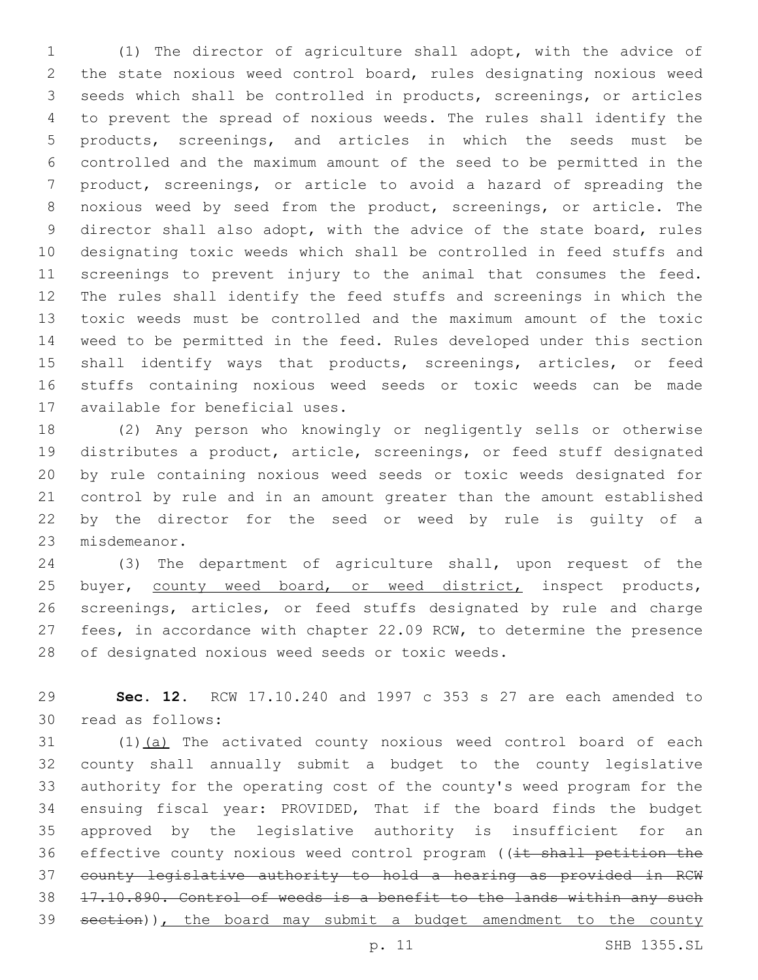(1) The director of agriculture shall adopt, with the advice of the state noxious weed control board, rules designating noxious weed seeds which shall be controlled in products, screenings, or articles to prevent the spread of noxious weeds. The rules shall identify the products, screenings, and articles in which the seeds must be controlled and the maximum amount of the seed to be permitted in the product, screenings, or article to avoid a hazard of spreading the noxious weed by seed from the product, screenings, or article. The director shall also adopt, with the advice of the state board, rules designating toxic weeds which shall be controlled in feed stuffs and screenings to prevent injury to the animal that consumes the feed. The rules shall identify the feed stuffs and screenings in which the toxic weeds must be controlled and the maximum amount of the toxic weed to be permitted in the feed. Rules developed under this section 15 shall identify ways that products, screenings, articles, or feed stuffs containing noxious weed seeds or toxic weeds can be made 17 available for beneficial uses.

 (2) Any person who knowingly or negligently sells or otherwise distributes a product, article, screenings, or feed stuff designated by rule containing noxious weed seeds or toxic weeds designated for control by rule and in an amount greater than the amount established by the director for the seed or weed by rule is guilty of a 23 misdemeanor.

 (3) The department of agriculture shall, upon request of the 25 buyer, county weed board, or weed district, inspect products, screenings, articles, or feed stuffs designated by rule and charge fees, in accordance with chapter 22.09 RCW, to determine the presence 28 of designated noxious weed seeds or toxic weeds.

 **Sec. 12.** RCW 17.10.240 and 1997 c 353 s 27 are each amended to 30 read as follows:

31 (1)(a) The activated county noxious weed control board of each county shall annually submit a budget to the county legislative authority for the operating cost of the county's weed program for the ensuing fiscal year: PROVIDED, That if the board finds the budget approved by the legislative authority is insufficient for an 36 effective county noxious weed control program ((it shall petition the county legislative authority to hold a hearing as provided in RCW 17.10.890. Control of weeds is a benefit to the lands within any such 39 section)), the board may submit a budget amendment to the county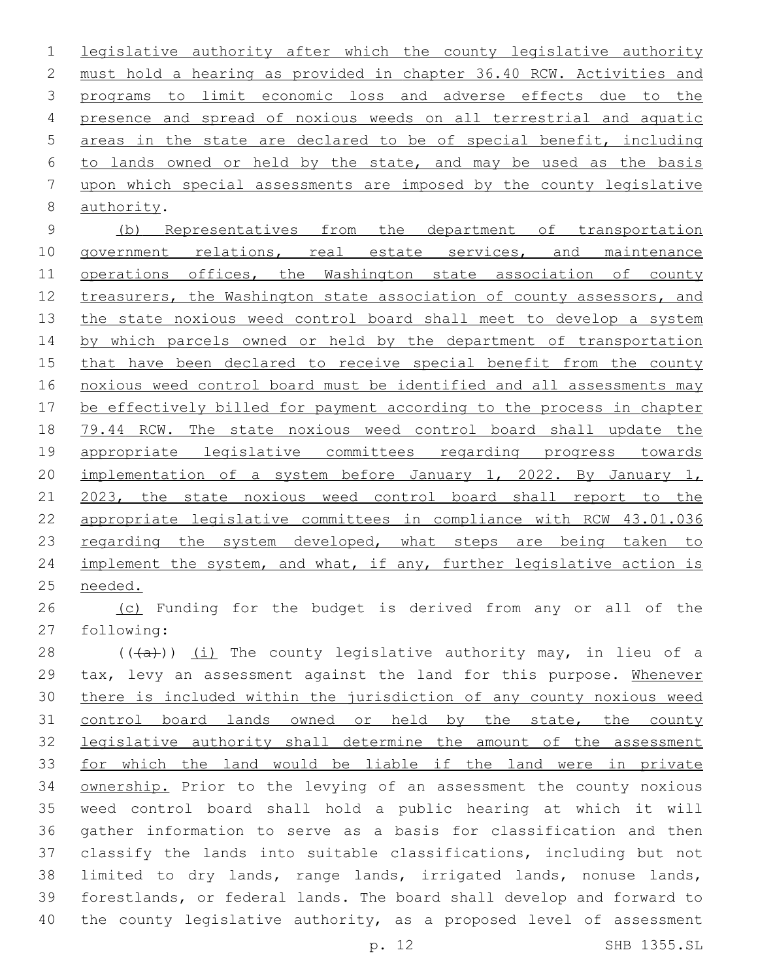legislative authority after which the county legislative authority must hold a hearing as provided in chapter 36.40 RCW. Activities and programs to limit economic loss and adverse effects due to the presence and spread of noxious weeds on all terrestrial and aquatic areas in the state are declared to be of special benefit, including to lands owned or held by the state, and may be used as the basis upon which special assessments are imposed by the county legislative 8 authority.

 (b) Representatives from the department of transportation 10 government relations, real estate services, and maintenance 11 operations offices, the Washington state association of county 12 treasurers, the Washington state association of county assessors, and 13 the state noxious weed control board shall meet to develop a system 14 by which parcels owned or held by the department of transportation that have been declared to receive special benefit from the county noxious weed control board must be identified and all assessments may be effectively billed for payment according to the process in chapter 79.44 RCW. The state noxious weed control board shall update the appropriate legislative committees regarding progress towards implementation of a system before January 1, 2022. By January 1, 2023, the state noxious weed control board shall report to the appropriate legislative committees in compliance with RCW 43.01.036 23 regarding the system developed, what steps are being taken to 24 implement the system, and what, if any, further legislative action is needed.

26 (c) Funding for the budget is derived from any or all of the 27 following:

 $((+a))$  (i) The county legislative authority may, in lieu of a tax, levy an assessment against the land for this purpose. Whenever there is included within the jurisdiction of any county noxious weed 31 control board lands owned or held by the state, the county legislative authority shall determine the amount of the assessment for which the land would be liable if the land were in private ownership. Prior to the levying of an assessment the county noxious weed control board shall hold a public hearing at which it will gather information to serve as a basis for classification and then classify the lands into suitable classifications, including but not limited to dry lands, range lands, irrigated lands, nonuse lands, forestlands, or federal lands. The board shall develop and forward to the county legislative authority, as a proposed level of assessment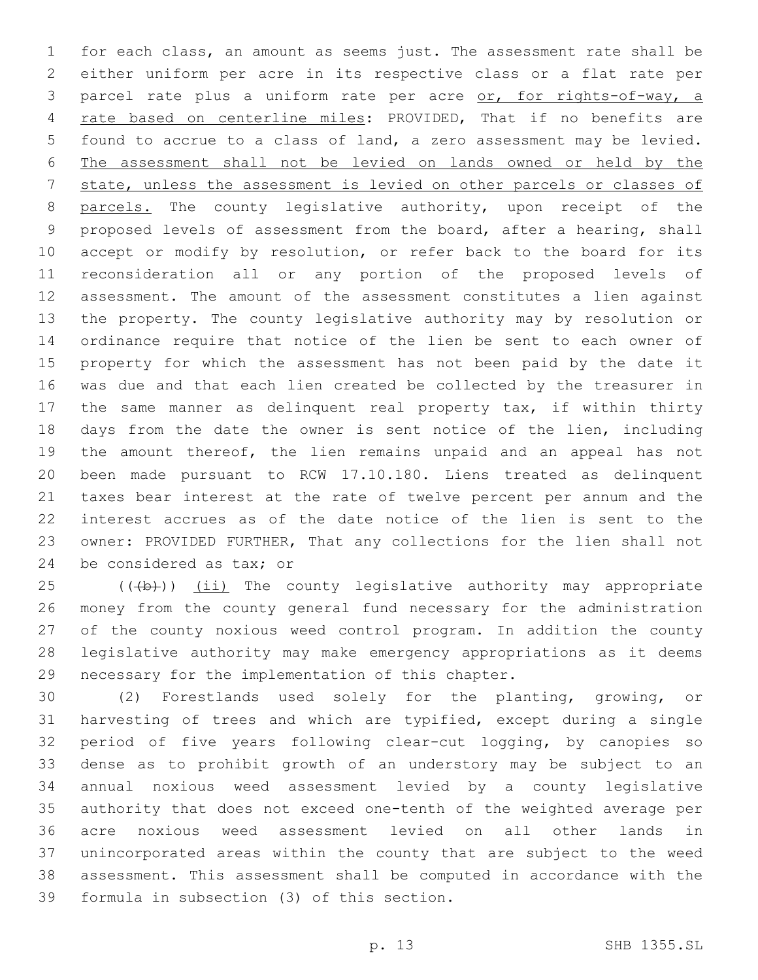for each class, an amount as seems just. The assessment rate shall be either uniform per acre in its respective class or a flat rate per parcel rate plus a uniform rate per acre or, for rights-of-way, a rate based on centerline miles: PROVIDED, That if no benefits are found to accrue to a class of land, a zero assessment may be levied. The assessment shall not be levied on lands owned or held by the state, unless the assessment is levied on other parcels or classes of 8 parcels. The county legislative authority, upon receipt of the proposed levels of assessment from the board, after a hearing, shall accept or modify by resolution, or refer back to the board for its reconsideration all or any portion of the proposed levels of assessment. The amount of the assessment constitutes a lien against the property. The county legislative authority may by resolution or ordinance require that notice of the lien be sent to each owner of property for which the assessment has not been paid by the date it was due and that each lien created be collected by the treasurer in the same manner as delinquent real property tax, if within thirty days from the date the owner is sent notice of the lien, including the amount thereof, the lien remains unpaid and an appeal has not been made pursuant to RCW 17.10.180. Liens treated as delinquent taxes bear interest at the rate of twelve percent per annum and the interest accrues as of the date notice of the lien is sent to the owner: PROVIDED FURTHER, That any collections for the lien shall not 24 be considered as tax; or

 $(1 + b)$ )  $(i + b)$  The county legislative authority may appropriate money from the county general fund necessary for the administration of the county noxious weed control program. In addition the county legislative authority may make emergency appropriations as it deems 29 necessary for the implementation of this chapter.

 (2) Forestlands used solely for the planting, growing, or harvesting of trees and which are typified, except during a single period of five years following clear-cut logging, by canopies so dense as to prohibit growth of an understory may be subject to an annual noxious weed assessment levied by a county legislative authority that does not exceed one-tenth of the weighted average per acre noxious weed assessment levied on all other lands in unincorporated areas within the county that are subject to the weed assessment. This assessment shall be computed in accordance with the 39 formula in subsection (3) of this section.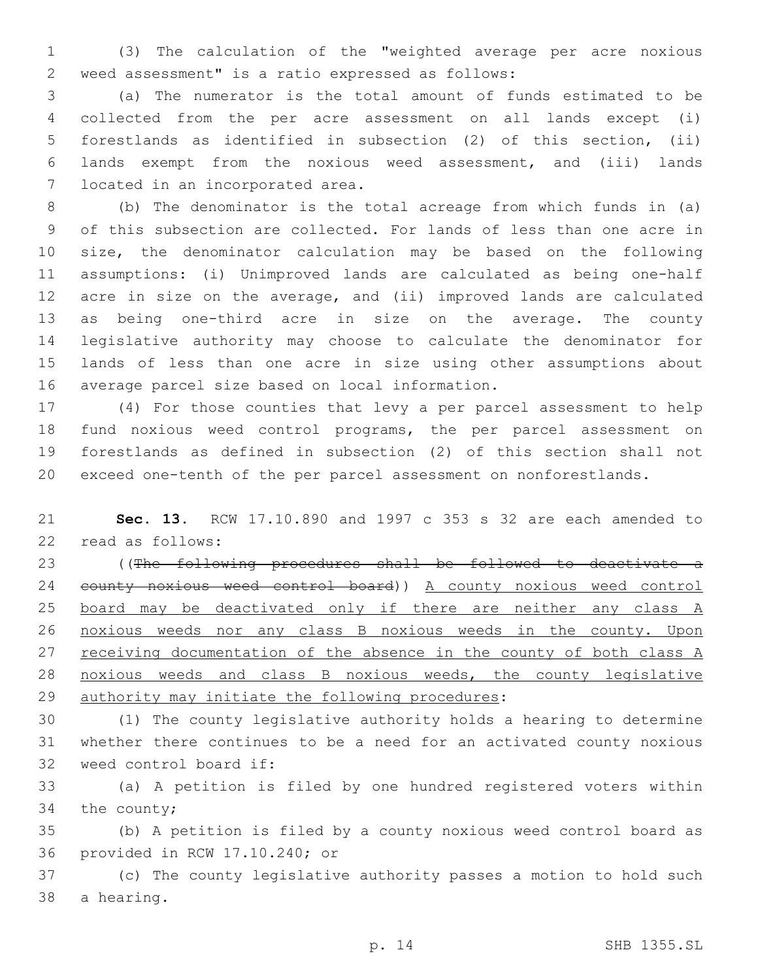(3) The calculation of the "weighted average per acre noxious weed assessment" is a ratio expressed as follows:2

 (a) The numerator is the total amount of funds estimated to be collected from the per acre assessment on all lands except (i) forestlands as identified in subsection (2) of this section, (ii) lands exempt from the noxious weed assessment, and (iii) lands 7 located in an incorporated area.

 (b) The denominator is the total acreage from which funds in (a) of this subsection are collected. For lands of less than one acre in size, the denominator calculation may be based on the following assumptions: (i) Unimproved lands are calculated as being one-half acre in size on the average, and (ii) improved lands are calculated as being one-third acre in size on the average. The county legislative authority may choose to calculate the denominator for lands of less than one acre in size using other assumptions about 16 average parcel size based on local information.

 (4) For those counties that levy a per parcel assessment to help fund noxious weed control programs, the per parcel assessment on forestlands as defined in subsection (2) of this section shall not exceed one-tenth of the per parcel assessment on nonforestlands.

 **Sec. 13.** RCW 17.10.890 and 1997 c 353 s 32 are each amended to 22 read as follows:

 ((The following procedures shall be followed to deactivate a county noxious weed control board)) A county noxious weed control board may be deactivated only if there are neither any class A noxious weeds nor any class B noxious weeds in the county. Upon 27 receiving documentation of the absence in the county of both class A noxious weeds and class B noxious weeds, the county legislative 29 authority may initiate the following procedures:

 (1) The county legislative authority holds a hearing to determine whether there continues to be a need for an activated county noxious 32 weed control board if:

 (a) A petition is filed by one hundred registered voters within 34 the county;

 (b) A petition is filed by a county noxious weed control board as 36 provided in RCW 17.10.240; or

 (c) The county legislative authority passes a motion to hold such 38 a hearing.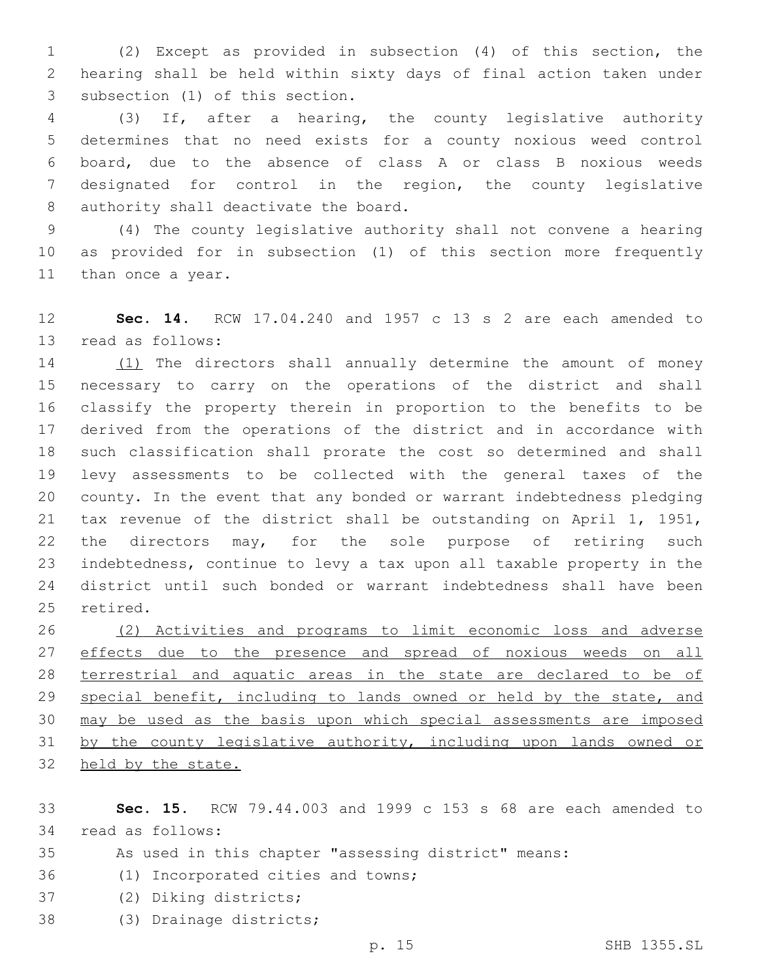(2) Except as provided in subsection (4) of this section, the hearing shall be held within sixty days of final action taken under 3 subsection (1) of this section.

 (3) If, after a hearing, the county legislative authority determines that no need exists for a county noxious weed control board, due to the absence of class A or class B noxious weeds designated for control in the region, the county legislative 8 authority shall deactivate the board.

 (4) The county legislative authority shall not convene a hearing as provided for in subsection (1) of this section more frequently 11 than once a year.

 **Sec. 14.** RCW 17.04.240 and 1957 c 13 s 2 are each amended to 13 read as follows:

14 (1) The directors shall annually determine the amount of money necessary to carry on the operations of the district and shall classify the property therein in proportion to the benefits to be derived from the operations of the district and in accordance with such classification shall prorate the cost so determined and shall levy assessments to be collected with the general taxes of the county. In the event that any bonded or warrant indebtedness pledging tax revenue of the district shall be outstanding on April 1, 1951, 22 the directors may, for the sole purpose of retiring such indebtedness, continue to levy a tax upon all taxable property in the district until such bonded or warrant indebtedness shall have been 25 retired.

 (2) Activities and programs to limit economic loss and adverse 27 effects due to the presence and spread of noxious weeds on all terrestrial and aquatic areas in the state are declared to be of 29 special benefit, including to lands owned or held by the state, and may be used as the basis upon which special assessments are imposed by the county legislative authority, including upon lands owned or held by the state.

 **Sec. 15.** RCW 79.44.003 and 1999 c 153 s 68 are each amended to 34 read as follows:

- As used in this chapter "assessing district" means:
- 36 (1) Incorporated cities and towns;
- 37 (2) Diking districts;
- 38 (3) Drainage districts;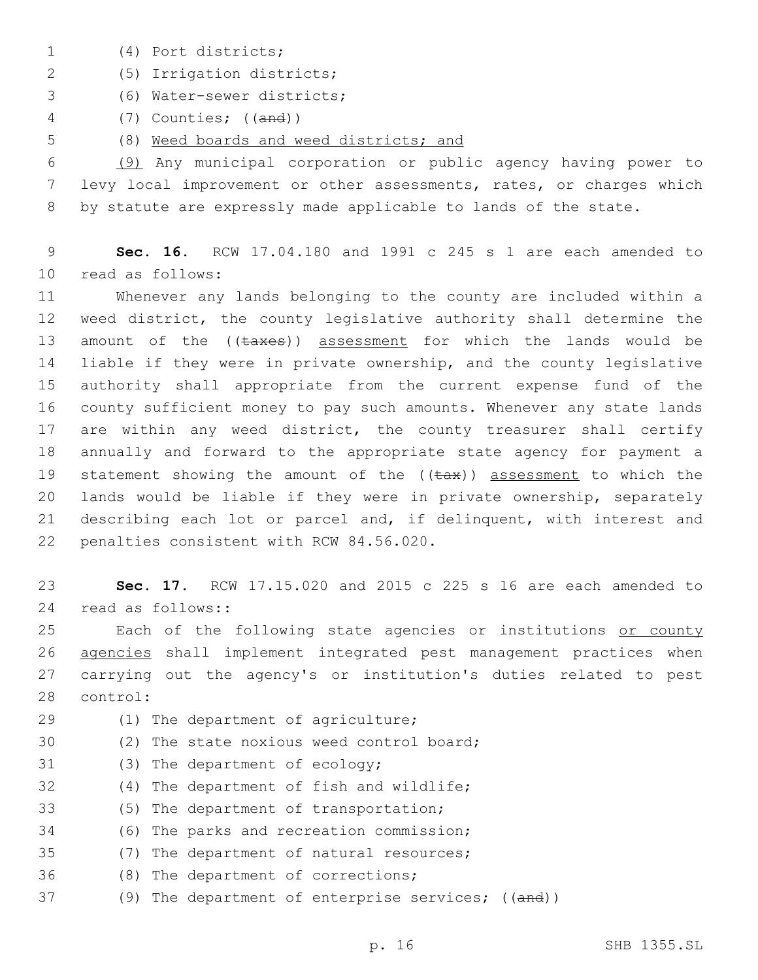- (4) Port districts;1
- (5) Irrigation districts;2
- (6) Water-sewer districts;3
- 4 (7) Counties; ((and))
- 5 (8) Weed boards and weed districts; and

6 (9) Any municipal corporation or public agency having power to 7 levy local improvement or other assessments, rates, or charges which 8 by statute are expressly made applicable to lands of the state.

9 **Sec. 16.** RCW 17.04.180 and 1991 c 245 s 1 are each amended to 10 read as follows:

 Whenever any lands belonging to the county are included within a weed district, the county legislative authority shall determine the 13 amount of the ((taxes)) assessment for which the lands would be liable if they were in private ownership, and the county legislative authority shall appropriate from the current expense fund of the county sufficient money to pay such amounts. Whenever any state lands 17 are within any weed district, the county treasurer shall certify annually and forward to the appropriate state agency for payment a 19 statement showing the amount of the  $((\text{tax}))$  assessment to which the lands would be liable if they were in private ownership, separately describing each lot or parcel and, if delinquent, with interest and 22 penalties consistent with RCW 84.56.020.

23 **Sec. 17.** RCW 17.15.020 and 2015 c 225 s 16 are each amended to 24 read as follows::

25 Each of the following state agencies or institutions or county 26 agencies shall implement integrated pest management practices when 27 carrying out the agency's or institution's duties related to pest 28 control:

- 29 (1) The department of agriculture;
- 30 (2) The state noxious weed control board;
- 31 (3) The department of ecology;
- 32 (4) The department of fish and wildlife;
- 33 (5) The department of transportation;
- 34 (6) The parks and recreation commission;
- 35 (7) The department of natural resources;
- 36 (8) The department of corrections;
- 37 (9) The department of enterprise services; ((and))